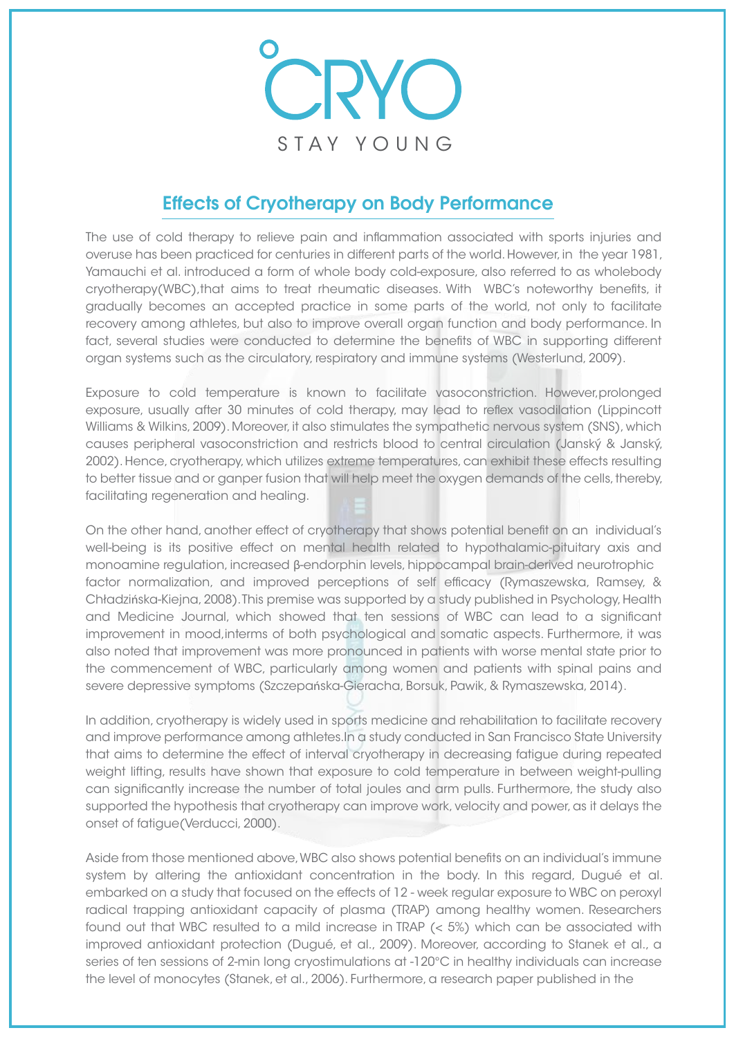

## Effects of Cryotherapy on Body Performance

The use of cold therapy to relieve pain and inflammation associated with sports injuries and overuse has been practiced for centuries in different parts of the world. However, in the year 1981, Yamauchi et al. introduced a form of whole body cold-exposure, also referred to as wholebody cryotherapy(WBC),that aims to treat rheumatic diseases. With WBC's noteworthy benefits, it gradually becomes an accepted practice in some parts of the world, not only to facilitate recovery among athletes, but also to improve overall organ function and body performance. In fact, several studies were conducted to determine the benefits of WBC in supporting different organ systems such as the circulatory, respiratory and immune systems (Westerlund, 2009).

Exposure to cold temperature is known to facilitate vasoconstriction. However,prolonged exposure, usually after 30 minutes of cold therapy, may lead to reflex vasodilation (Lippincott Williams & Wilkins, 2009). Moreover, it also stimulates the sympathetic nervous system (SNS), which causes peripheral vasoconstriction and restricts blood to central circulation (Janský & Janský, 2002). Hence, cryotherapy, which utilizes extreme temperatures, can exhibit these effects resulting to better tissue and or ganper fusion that will help meet the oxygen demands of the cells, thereby, facilitating regeneration and healing.

On the other hand, another effect of cryotherapy that shows potential benefit on an individual's well-being is its positive effect on mental health related to hypothalamic-pituitary axis and monoamine regulation, increased β-endorphin levels, hippocampal brain-derived neurotrophic factor normalization, and improved perceptions of self efficacy (Rymaszewska, Ramsey, & Chładzińska-Kiejna, 2008). This premise was supported by a study published in Psychology, Health and Medicine Journal, which showed that ten sessions of WBC can lead to a significant improvement in mood,interms of both psychological and somatic aspects. Furthermore, it was also noted that improvement was more pronounced in patients with worse mental state prior to the commencement of WBC, particularly among women and patients with spinal pains and severe depressive symptoms (Szczepańska-Gieracha, Borsuk, Pawik, & Rymaszewska, 2014).

In addition, cryotherapy is widely used in sports medicine and rehabilitation to facilitate recovery and improve performance among athletes.In a study conducted in San Francisco State University that aims to determine the effect of interval cryotherapy in decreasing fatigue during repeated weight lifting, results have shown that exposure to cold temperature in between weight-pulling can significantly increase the number of total joules and arm pulls. Furthermore, the study also supported the hypothesis that cryotherapy can improve work, velocity and power, as it delays the onset of fatigue(Verducci, 2000).

Aside from those mentioned above, WBC also shows potential benefits on an individual's immune system by altering the antioxidant concentration in the body. In this regard, Dugué et al. embarked on a study that focused on the effects of 12 - week regular exposure to WBC on peroxyl radical trapping antioxidant capacity of plasma (TRAP) among healthy women. Researchers found out that WBC resulted to a mild increase in TRAP (< 5%) which can be associated with improved antioxidant protection (Dugué, et al., 2009). Moreover, according to Stanek et al., a series of ten sessions of 2-min long cryostimulations at -120°C in healthy individuals can increase the level of monocytes (Stanek, et al., 2006). Furthermore, a research paper published in the